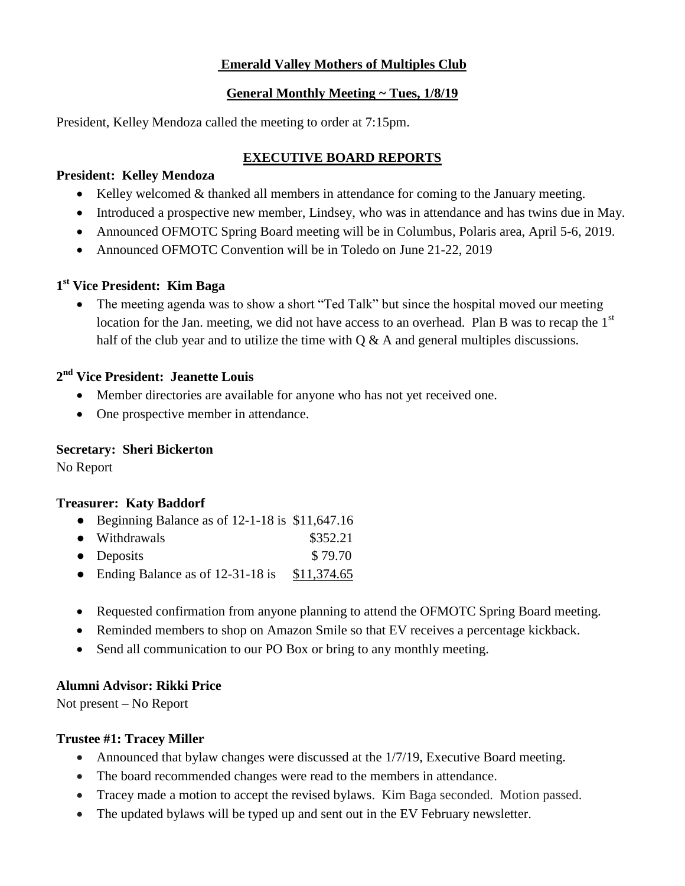## **Emerald Valley Mothers of Multiples Club**

### **General Monthly Meeting ~ Tues, 1/8/19**

President, Kelley Mendoza called the meeting to order at 7:15pm.

# **EXECUTIVE BOARD REPORTS**

#### **President: Kelley Mendoza**

- $\bullet$  Kelley welcomed & thanked all members in attendance for coming to the January meeting.
- Introduced a prospective new member, Lindsey, who was in attendance and has twins due in May.
- Announced OFMOTC Spring Board meeting will be in Columbus, Polaris area, April 5-6, 2019.
- Announced OFMOTC Convention will be in Toledo on June 21-22, 2019

# **1 st Vice President: Kim Baga**

• The meeting agenda was to show a short "Ted Talk" but since the hospital moved our meeting location for the Jan. meeting, we did not have access to an overhead. Plan B was to recap the  $1<sup>st</sup>$ half of the club year and to utilize the time with  $Q \& A$  and general multiples discussions.

# **2 nd Vice President: Jeanette Louis**

- Member directories are available for anyone who has not yet received one.
- One prospective member in attendance.

## **Secretary: Sheri Bickerton**

No Report

## **Treasurer: Katy Baddorf**

- Beginning Balance as of 12-1-18 is \$11,647.16
- Withdrawals \$352.21
- Deposits  $$79.70$
- Ending Balance as of  $12-31-18$  is \$11,374.65
- Requested confirmation from anyone planning to attend the OFMOTC Spring Board meeting.
- Reminded members to shop on Amazon Smile so that EV receives a percentage kickback.
- Send all communication to our PO Box or bring to any monthly meeting.

# **Alumni Advisor: Rikki Price**

Not present – No Report

## **Trustee #1: Tracey Miller**

- Announced that bylaw changes were discussed at the 1/7/19, Executive Board meeting.
- The board recommended changes were read to the members in attendance.
- Tracey made a motion to accept the revised bylaws. Kim Baga seconded. Motion passed.
- The updated bylaws will be typed up and sent out in the EV February newsletter.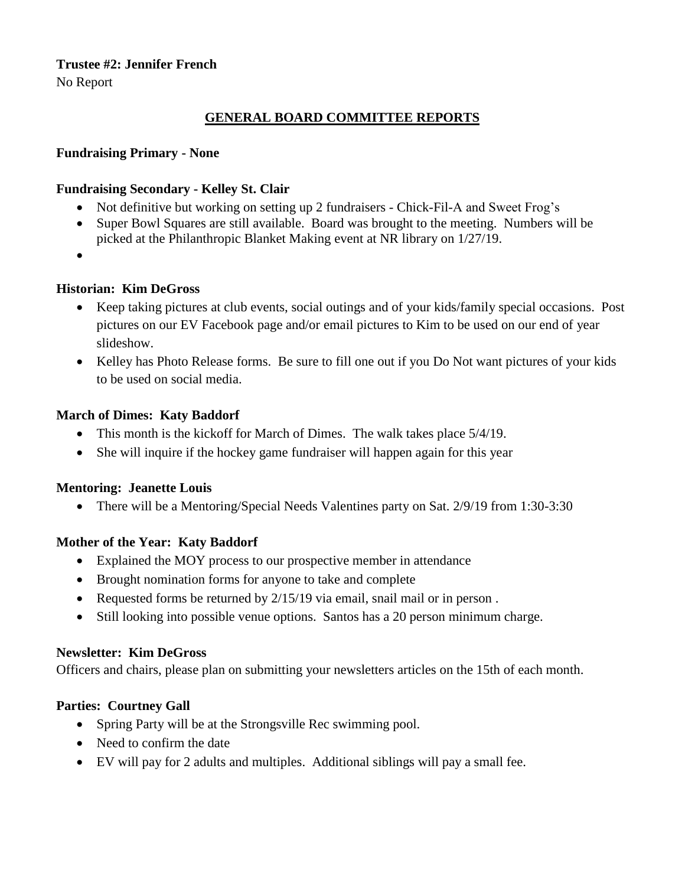# **Trustee #2: Jennifer French**

No Report

## **GENERAL BOARD COMMITTEE REPORTS**

### **Fundraising Primary - None**

### **Fundraising Secondary - Kelley St. Clair**

- Not definitive but working on setting up 2 fundraisers Chick-Fil-A and Sweet Frog's
- Super Bowl Squares are still available. Board was brought to the meeting. Numbers will be picked at the Philanthropic Blanket Making event at NR library on 1/27/19.
- $\bullet$

### **Historian: Kim DeGross**

- Keep taking pictures at club events, social outings and of your kids/family special occasions. Post pictures on our EV Facebook page and/or email pictures to Kim to be used on our end of year slideshow.
- Kelley has Photo Release forms. Be sure to fill one out if you Do Not want pictures of your kids to be used on social media.

#### **March of Dimes: Katy Baddorf**

- This month is the kickoff for March of Dimes. The walk takes place  $5/4/19$ .
- She will inquire if the hockey game fundraiser will happen again for this year

#### **Mentoring: Jeanette Louis**

• There will be a Mentoring/Special Needs Valentines party on Sat. 2/9/19 from 1:30-3:30

## **Mother of the Year: Katy Baddorf**

- Explained the MOY process to our prospective member in attendance
- Brought nomination forms for anyone to take and complete
- Requested forms be returned by  $2/15/19$  via email, snail mail or in person.
- Still looking into possible venue options. Santos has a 20 person minimum charge.

#### **Newsletter: Kim DeGross**

Officers and chairs, please plan on submitting your newsletters articles on the 15th of each month.

## **Parties: Courtney Gall**

- Spring Party will be at the Strongsville Rec swimming pool.
- Need to confirm the date
- EV will pay for 2 adults and multiples. Additional siblings will pay a small fee.